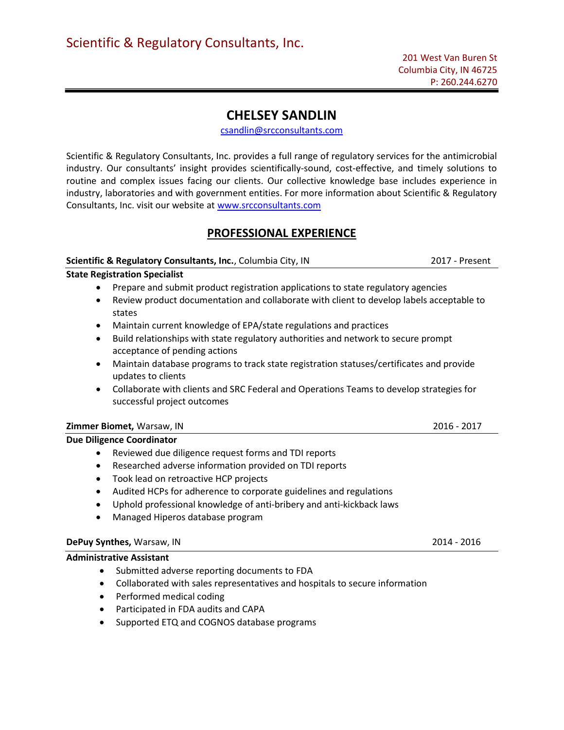# CHELSEY SANDLIN

csandlin@srcconsultants.com

Scientific & Regulatory Consultants, Inc. provides a full range of regulatory services for the antimicrobial industry. Our consultants' insight provides scientifically-sound, cost-effective, and timely solutions to routine and complex issues facing our clients. Our collective knowledge base includes experience in industry, laboratories and with government entities. For more information about Scientific & Regulatory Consultants, Inc. visit our website at www.srcconsultants.com

# PROFESSIONAL EXPERIENCE

### Scientific & Regulatory Consultants, Inc., Columbia City, IN 2017 - Present

### State Registration Specialist

- Prepare and submit product registration applications to state regulatory agencies
- Review product documentation and collaborate with client to develop labels acceptable to states
- Maintain current knowledge of EPA/state regulations and practices
- Build relationships with state regulatory authorities and network to secure prompt acceptance of pending actions
- Maintain database programs to track state registration statuses/certificates and provide updates to clients
- Collaborate with clients and SRC Federal and Operations Teams to develop strategies for successful project outcomes

### Zimmer Biomet, Warsaw, IN 2016 - 2017

#### Due Diligence Coordinator

- Reviewed due diligence request forms and TDI reports
- Researched adverse information provided on TDI reports
- Took lead on retroactive HCP projects
- Audited HCPs for adherence to corporate guidelines and regulations
- Uphold professional knowledge of anti-bribery and anti-kickback laws
- Managed Hiperos database program

### DePuy Synthes, Warsaw, IN 2014 - 2016

#### Administrative Assistant

- Submitted adverse reporting documents to FDA
- Collaborated with sales representatives and hospitals to secure information
- Performed medical coding
- Participated in FDA audits and CAPA
- Supported ETQ and COGNOS database programs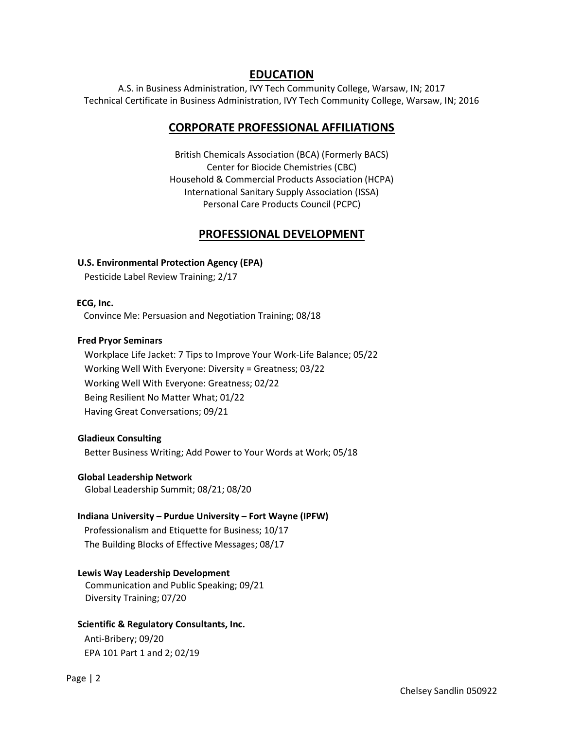## EDUCATION

A.S. in Business Administration, IVY Tech Community College, Warsaw, IN; 2017 Technical Certificate in Business Administration, IVY Tech Community College, Warsaw, IN; 2016

## CORPORATE PROFESSIONAL AFFILIATIONS

British Chemicals Association (BCA) (Formerly BACS) Center for Biocide Chemistries (CBC) Household & Commercial Products Association (HCPA) International Sanitary Supply Association (ISSA) Personal Care Products Council (PCPC)

# PROFESSIONAL DEVELOPMENT

## U.S. Environmental Protection Agency (EPA)

Pesticide Label Review Training; 2/17

### ECG, Inc.

Convince Me: Persuasion and Negotiation Training; 08/18

### Fred Pryor Seminars

 Workplace Life Jacket: 7 Tips to Improve Your Work-Life Balance; 05/22 Working Well With Everyone: Diversity = Greatness; 03/22 Working Well With Everyone: Greatness; 02/22 Being Resilient No Matter What; 01/22 Having Great Conversations; 09/21

## Gladieux Consulting

Better Business Writing; Add Power to Your Words at Work; 05/18

## Global Leadership Network

Global Leadership Summit; 08/21; 08/20

## Indiana University – Purdue University – Fort Wayne (IPFW)

 Professionalism and Etiquette for Business; 10/17 The Building Blocks of Effective Messages; 08/17

## Lewis Way Leadership Development

 Communication and Public Speaking; 09/21 Diversity Training; 07/20

## Scientific & Regulatory Consultants, Inc.

 Anti-Bribery; 09/20 EPA 101 Part 1 and 2; 02/19